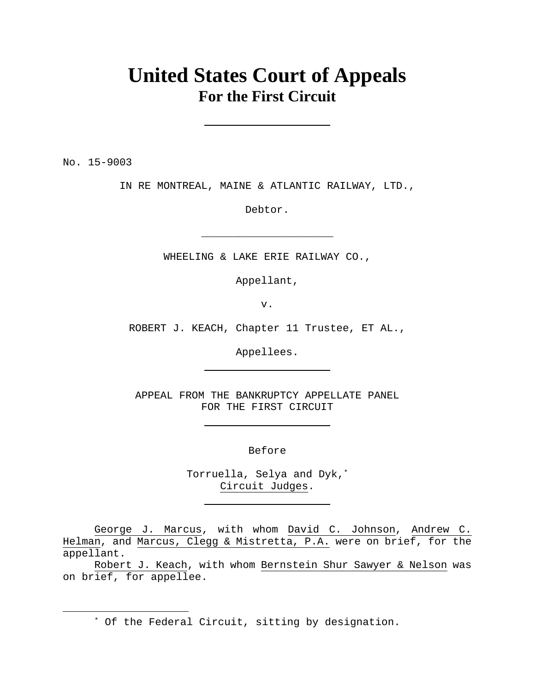# **United States Court of Appeals For the First Circuit**

No. 15-9003

 $\overline{a}$ 

IN RE MONTREAL, MAINE & ATLANTIC RAILWAY, LTD.,

Debtor.

**\_\_\_\_\_\_\_\_\_\_\_\_\_\_\_\_\_\_\_\_\_**

WHEELING & LAKE ERIE RAILWAY CO.,

Appellant,

v.

ROBERT J. KEACH, Chapter 11 Trustee, ET AL.,

Appellees.

APPEAL FROM THE BANKRUPTCY APPELLATE PANEL FOR THE FIRST CIRCUIT

Before

Torruella, Selya and Dyk,\* Circuit Judges.

George J. Marcus, with whom David C. Johnson, Andrew C. Helman, and Marcus, Clegg & Mistretta, P.A. were on brief, for the appellant.

 Robert J. Keach, with whom Bernstein Shur Sawyer & Nelson was on brief, for appellee.

\* Of the Federal Circuit, sitting by designation.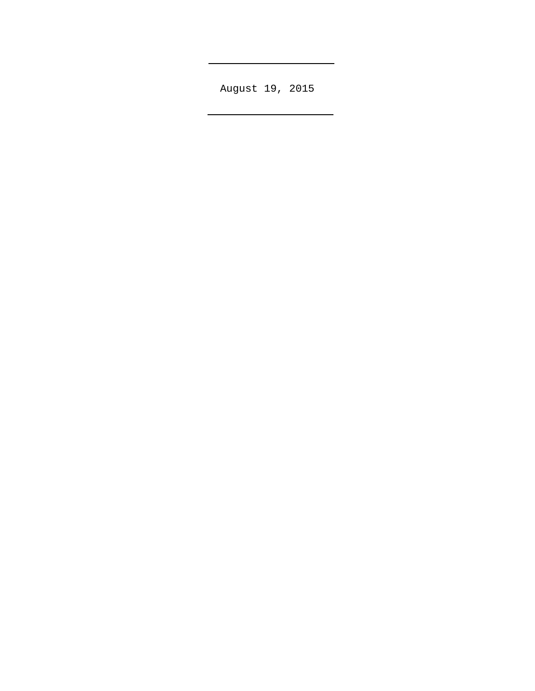August 19, 2015

L

 $\overline{a}$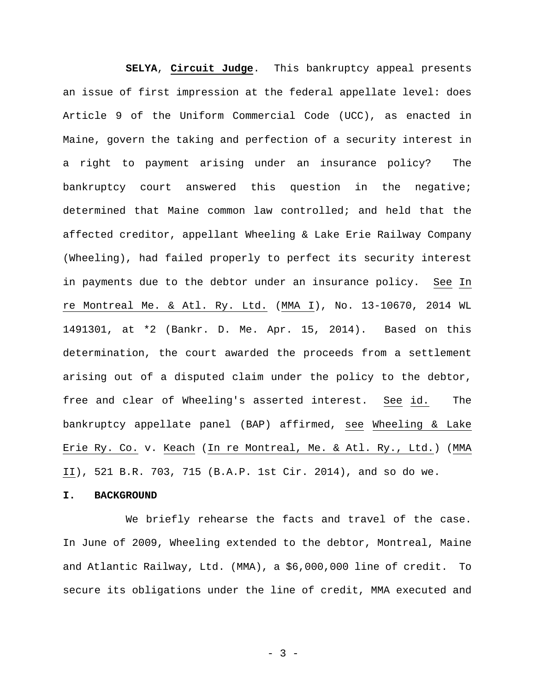**SELYA**, **Circuit Judge**. This bankruptcy appeal presents an issue of first impression at the federal appellate level: does Article 9 of the Uniform Commercial Code (UCC), as enacted in Maine, govern the taking and perfection of a security interest in a right to payment arising under an insurance policy? The bankruptcy court answered this question in the negative; determined that Maine common law controlled; and held that the affected creditor, appellant Wheeling & Lake Erie Railway Company (Wheeling), had failed properly to perfect its security interest in payments due to the debtor under an insurance policy. See In re Montreal Me. & Atl. Ry. Ltd. (MMA I), No. 13-10670, 2014 WL 1491301, at \*2 (Bankr. D. Me. Apr. 15, 2014). Based on this determination, the court awarded the proceeds from a settlement arising out of a disputed claim under the policy to the debtor, free and clear of Wheeling's asserted interest. See id. The bankruptcy appellate panel (BAP) affirmed, see Wheeling & Lake Erie Ry. Co. v. Keach (In re Montreal, Me. & Atl. Ry., Ltd.) (MMA II), 521 B.R. 703, 715 (B.A.P. 1st Cir. 2014), and so do we.

#### **I. BACKGROUND**

 We briefly rehearse the facts and travel of the case. In June of 2009, Wheeling extended to the debtor, Montreal, Maine and Atlantic Railway, Ltd. (MMA), a \$6,000,000 line of credit. To secure its obligations under the line of credit, MMA executed and

- 3 -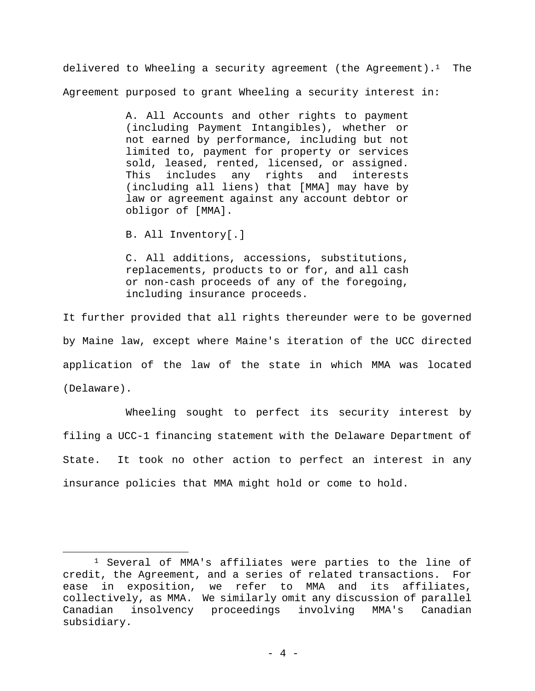delivered to Wheeling a security agreement (the Agreement).<sup>1</sup> The Agreement purposed to grant Wheeling a security interest in:

> A. All Accounts and other rights to payment (including Payment Intangibles), whether or not earned by performance, including but not limited to, payment for property or services sold, leased, rented, licensed, or assigned. This includes any rights and interests (including all liens) that [MMA] may have by law or agreement against any account debtor or obligor of [MMA].

B. All Inventory[.]

1

C. All additions, accessions, substitutions, replacements, products to or for, and all cash or non-cash proceeds of any of the foregoing, including insurance proceeds.

It further provided that all rights thereunder were to be governed by Maine law, except where Maine's iteration of the UCC directed application of the law of the state in which MMA was located (Delaware).

 Wheeling sought to perfect its security interest by filing a UCC-1 financing statement with the Delaware Department of State. It took no other action to perfect an interest in any insurance policies that MMA might hold or come to hold.

<sup>1</sup> Several of MMA's affiliates were parties to the line of credit, the Agreement, and a series of related transactions. For ease in exposition, we refer to MMA and its affiliates, collectively, as MMA. We similarly omit any discussion of parallel Canadian insolvency proceedings involving MMA's Canadian subsidiary.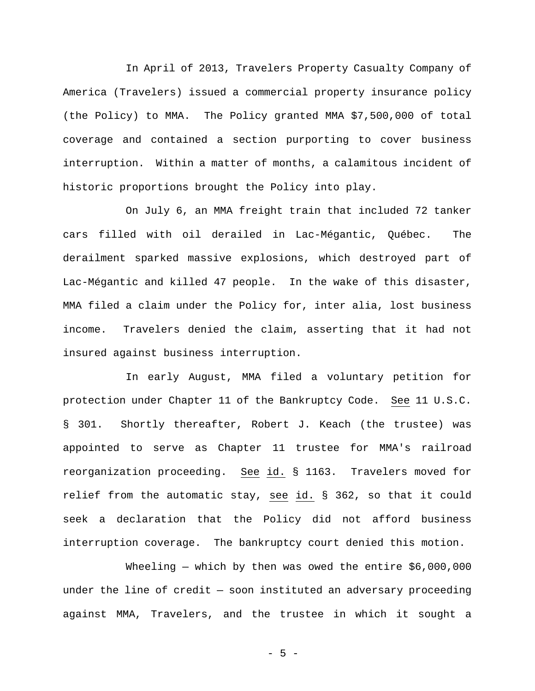In April of 2013, Travelers Property Casualty Company of America (Travelers) issued a commercial property insurance policy (the Policy) to MMA. The Policy granted MMA \$7,500,000 of total coverage and contained a section purporting to cover business interruption. Within a matter of months, a calamitous incident of historic proportions brought the Policy into play.

 On July 6, an MMA freight train that included 72 tanker cars filled with oil derailed in Lac-Mégantic, Québec. The derailment sparked massive explosions, which destroyed part of Lac-Mégantic and killed 47 people. In the wake of this disaster, MMA filed a claim under the Policy for, inter alia, lost business income. Travelers denied the claim, asserting that it had not insured against business interruption.

 In early August, MMA filed a voluntary petition for protection under Chapter 11 of the Bankruptcy Code. See 11 U.S.C. § 301. Shortly thereafter, Robert J. Keach (the trustee) was appointed to serve as Chapter 11 trustee for MMA's railroad reorganization proceeding. See id. § 1163. Travelers moved for relief from the automatic stay, see id. § 362, so that it could seek a declaration that the Policy did not afford business interruption coverage. The bankruptcy court denied this motion.

Wheeling  $-$  which by then was owed the entire  $$6,000,000$ under the line of credit  $-$  soon instituted an adversary proceeding against MMA, Travelers, and the trustee in which it sought a

- 5 -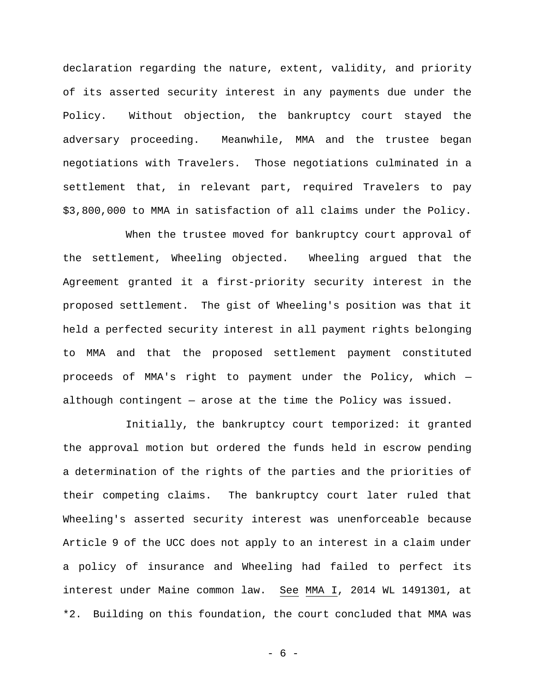declaration regarding the nature, extent, validity, and priority of its asserted security interest in any payments due under the Policy. Without objection, the bankruptcy court stayed the adversary proceeding. Meanwhile, MMA and the trustee began negotiations with Travelers. Those negotiations culminated in a settlement that, in relevant part, required Travelers to pay \$3,800,000 to MMA in satisfaction of all claims under the Policy.

 When the trustee moved for bankruptcy court approval of the settlement, Wheeling objected. Wheeling argued that the Agreement granted it a first-priority security interest in the proposed settlement. The gist of Wheeling's position was that it held a perfected security interest in all payment rights belonging to MMA and that the proposed settlement payment constituted proceeds of MMA's right to payment under the Policy, which although contingent — arose at the time the Policy was issued.

 Initially, the bankruptcy court temporized: it granted the approval motion but ordered the funds held in escrow pending a determination of the rights of the parties and the priorities of their competing claims. The bankruptcy court later ruled that Wheeling's asserted security interest was unenforceable because Article 9 of the UCC does not apply to an interest in a claim under a policy of insurance and Wheeling had failed to perfect its interest under Maine common law. See MMA I, 2014 WL 1491301, at \*2. Building on this foundation, the court concluded that MMA was

- 6 -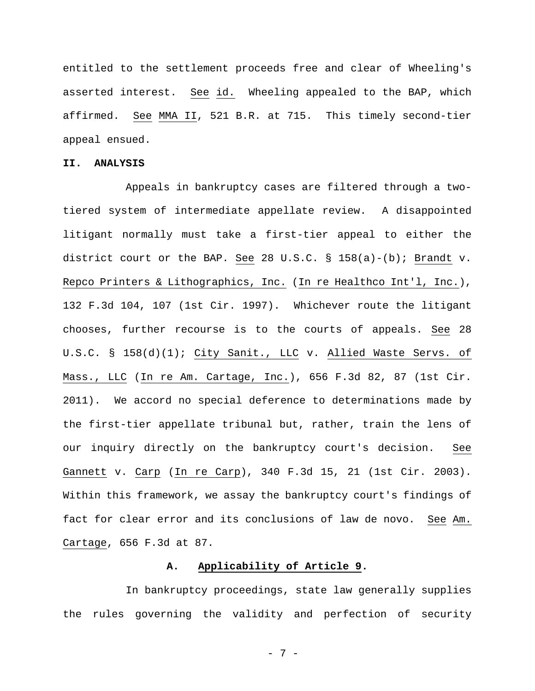entitled to the settlement proceeds free and clear of Wheeling's asserted interest. See id. Wheeling appealed to the BAP, which affirmed. See MMA II, 521 B.R. at 715. This timely second-tier appeal ensued.

## **II. ANALYSIS**

 Appeals in bankruptcy cases are filtered through a twotiered system of intermediate appellate review. A disappointed litigant normally must take a first-tier appeal to either the district court or the BAP. See 28 U.S.C. § 158(a)-(b); Brandt v. Repco Printers & Lithographics, Inc. (In re Healthco Int'l, Inc.), 132 F.3d 104, 107 (1st Cir. 1997). Whichever route the litigant chooses, further recourse is to the courts of appeals. See 28 U.S.C. § 158(d)(1); City Sanit., LLC v. Allied Waste Servs. of Mass., LLC (In re Am. Cartage, Inc.), 656 F.3d 82, 87 (1st Cir. 2011). We accord no special deference to determinations made by the first-tier appellate tribunal but, rather, train the lens of our inquiry directly on the bankruptcy court's decision. See Gannett v. Carp (In re Carp), 340 F.3d 15, 21 (1st Cir. 2003). Within this framework, we assay the bankruptcy court's findings of fact for clear error and its conclusions of law de novo. See Am. Cartage, 656 F.3d at 87.

#### **A. Applicability of Article 9.**

 In bankruptcy proceedings, state law generally supplies the rules governing the validity and perfection of security

- 7 -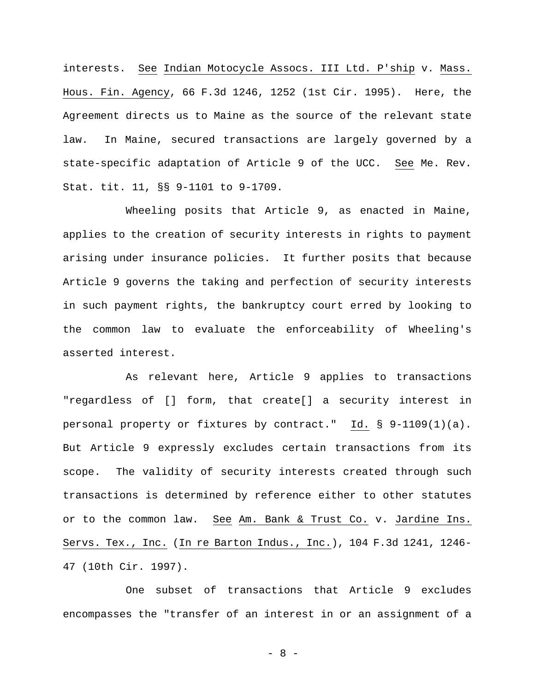interests. See Indian Motocycle Assocs. III Ltd. P'ship v. Mass. Hous. Fin. Agency, 66 F.3d 1246, 1252 (1st Cir. 1995). Here, the Agreement directs us to Maine as the source of the relevant state law. In Maine, secured transactions are largely governed by a state-specific adaptation of Article 9 of the UCC. See Me. Rev. Stat. tit. 11, §§ 9-1101 to 9-1709.

 Wheeling posits that Article 9, as enacted in Maine, applies to the creation of security interests in rights to payment arising under insurance policies. It further posits that because Article 9 governs the taking and perfection of security interests in such payment rights, the bankruptcy court erred by looking to the common law to evaluate the enforceability of Wheeling's asserted interest.

 As relevant here, Article 9 applies to transactions "regardless of [] form, that create[] a security interest in personal property or fixtures by contract." Id. § 9-1109(1)(a). But Article 9 expressly excludes certain transactions from its scope. The validity of security interests created through such transactions is determined by reference either to other statutes or to the common law. See Am. Bank & Trust Co. v. Jardine Ins. Servs. Tex., Inc. (In re Barton Indus., Inc.), 104 F.3d 1241, 1246- 47 (10th Cir. 1997).

 One subset of transactions that Article 9 excludes encompasses the "transfer of an interest in or an assignment of a

- 8 -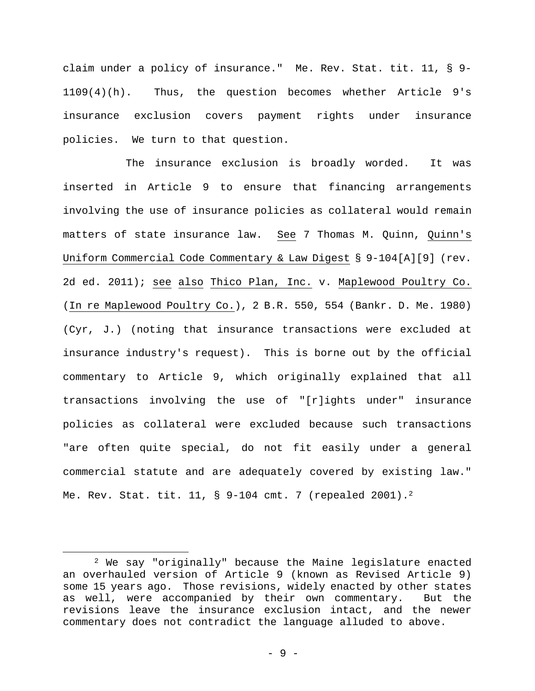claim under a policy of insurance." Me. Rev. Stat. tit. 11, § 9- 1109(4)(h). Thus, the question becomes whether Article 9's insurance exclusion covers payment rights under insurance policies. We turn to that question.

 The insurance exclusion is broadly worded. It was inserted in Article 9 to ensure that financing arrangements involving the use of insurance policies as collateral would remain matters of state insurance law. See 7 Thomas M. Quinn, Quinn's Uniform Commercial Code Commentary & Law Digest § 9-104[A][9] (rev. 2d ed. 2011); see also Thico Plan, Inc. v. Maplewood Poultry Co. (In re Maplewood Poultry Co.), 2 B.R. 550, 554 (Bankr. D. Me. 1980) (Cyr, J.) (noting that insurance transactions were excluded at insurance industry's request). This is borne out by the official commentary to Article 9, which originally explained that all transactions involving the use of "[r]ights under" insurance policies as collateral were excluded because such transactions "are often quite special, do not fit easily under a general commercial statute and are adequately covered by existing law." Me. Rev. Stat. tit. 11, § 9-104 cmt. 7 (repealed 2001).<sup>2</sup>

1

<sup>2</sup> We say "originally" because the Maine legislature enacted an overhauled version of Article 9 (known as Revised Article 9) some 15 years ago. Those revisions, widely enacted by other states as well, were accompanied by their own commentary. But the revisions leave the insurance exclusion intact, and the newer commentary does not contradict the language alluded to above.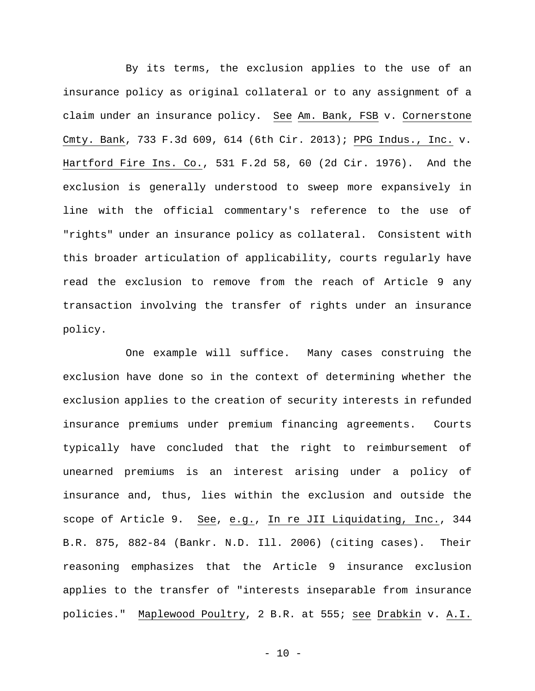By its terms, the exclusion applies to the use of an insurance policy as original collateral or to any assignment of a claim under an insurance policy. See Am. Bank, FSB v. Cornerstone Cmty. Bank, 733 F.3d 609, 614 (6th Cir. 2013); PPG Indus., Inc. v. Hartford Fire Ins. Co., 531 F.2d 58, 60 (2d Cir. 1976). And the exclusion is generally understood to sweep more expansively in line with the official commentary's reference to the use of "rights" under an insurance policy as collateral. Consistent with this broader articulation of applicability, courts regularly have read the exclusion to remove from the reach of Article 9 any transaction involving the transfer of rights under an insurance policy.

 One example will suffice. Many cases construing the exclusion have done so in the context of determining whether the exclusion applies to the creation of security interests in refunded insurance premiums under premium financing agreements. Courts typically have concluded that the right to reimbursement of unearned premiums is an interest arising under a policy of insurance and, thus, lies within the exclusion and outside the scope of Article 9. See, e.g., In re JII Liquidating, Inc., 344 B.R. 875, 882-84 (Bankr. N.D. Ill. 2006) (citing cases). Their reasoning emphasizes that the Article 9 insurance exclusion applies to the transfer of "interests inseparable from insurance policies." Maplewood Poultry, 2 B.R. at 555; see Drabkin v. A.I.

 $- 10 -$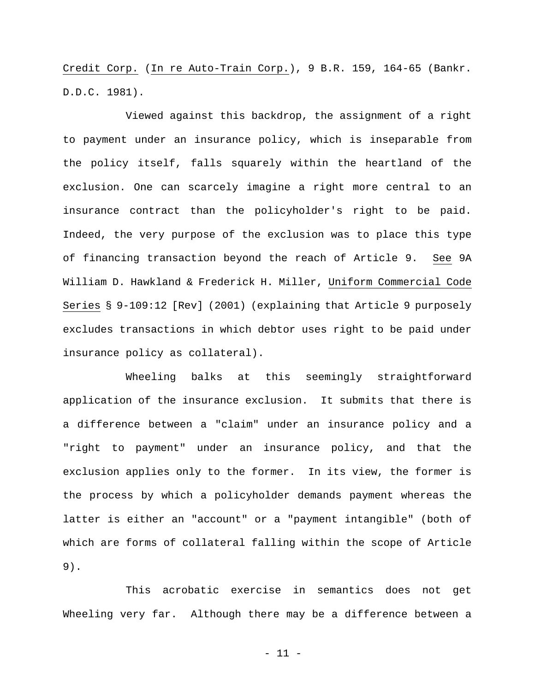Credit Corp. (In re Auto-Train Corp.), 9 B.R. 159, 164-65 (Bankr. D.D.C. 1981).

 Viewed against this backdrop, the assignment of a right to payment under an insurance policy, which is inseparable from the policy itself, falls squarely within the heartland of the exclusion. One can scarcely imagine a right more central to an insurance contract than the policyholder's right to be paid. Indeed, the very purpose of the exclusion was to place this type of financing transaction beyond the reach of Article 9. See 9A William D. Hawkland & Frederick H. Miller, Uniform Commercial Code Series § 9-109:12 [Rev] (2001) (explaining that Article 9 purposely excludes transactions in which debtor uses right to be paid under insurance policy as collateral).

 Wheeling balks at this seemingly straightforward application of the insurance exclusion. It submits that there is a difference between a "claim" under an insurance policy and a "right to payment" under an insurance policy, and that the exclusion applies only to the former. In its view, the former is the process by which a policyholder demands payment whereas the latter is either an "account" or a "payment intangible" (both of which are forms of collateral falling within the scope of Article 9).

 This acrobatic exercise in semantics does not get Wheeling very far. Although there may be a difference between a

- 11 -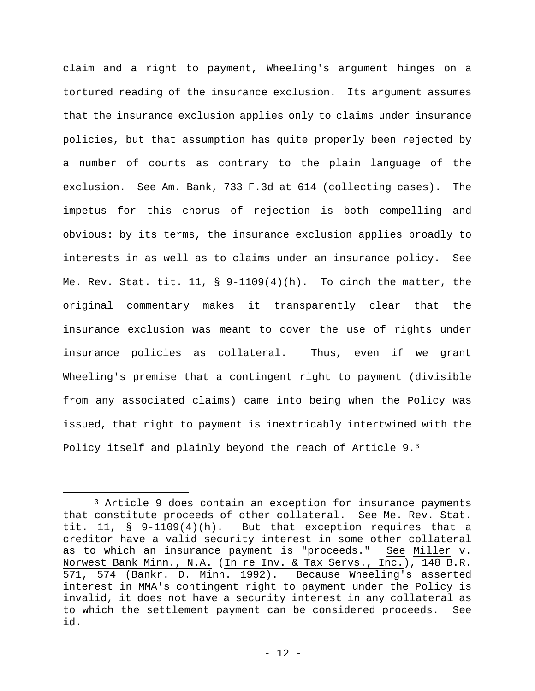claim and a right to payment, Wheeling's argument hinges on a tortured reading of the insurance exclusion. Its argument assumes that the insurance exclusion applies only to claims under insurance policies, but that assumption has quite properly been rejected by a number of courts as contrary to the plain language of the exclusion. See Am. Bank, 733 F.3d at 614 (collecting cases). The impetus for this chorus of rejection is both compelling and obvious: by its terms, the insurance exclusion applies broadly to interests in as well as to claims under an insurance policy. See Me. Rev. Stat. tit.  $11$ , §  $9-1109(4)(h)$ . To cinch the matter, the original commentary makes it transparently clear that the insurance exclusion was meant to cover the use of rights under insurance policies as collateral. Thus, even if we grant Wheeling's premise that a contingent right to payment (divisible from any associated claims) came into being when the Policy was issued, that right to payment is inextricably intertwined with the Policy itself and plainly beyond the reach of Article 9.<sup>3</sup>

 $\overline{a}$ 

<sup>3</sup> Article 9 does contain an exception for insurance payments that constitute proceeds of other collateral. See Me. Rev. Stat. tit. 11, § 9-1109(4)(h). But that exception requires that a creditor have a valid security interest in some other collateral as to which an insurance payment is "proceeds." See Miller v. Norwest Bank Minn., N.A. (In re Inv. & Tax Servs., Inc.), 148 B.R. 571, 574 (Bankr. D. Minn. 1992). Because Wheeling's asserted interest in MMA's contingent right to payment under the Policy is invalid, it does not have a security interest in any collateral as to which the settlement payment can be considered proceeds. See id.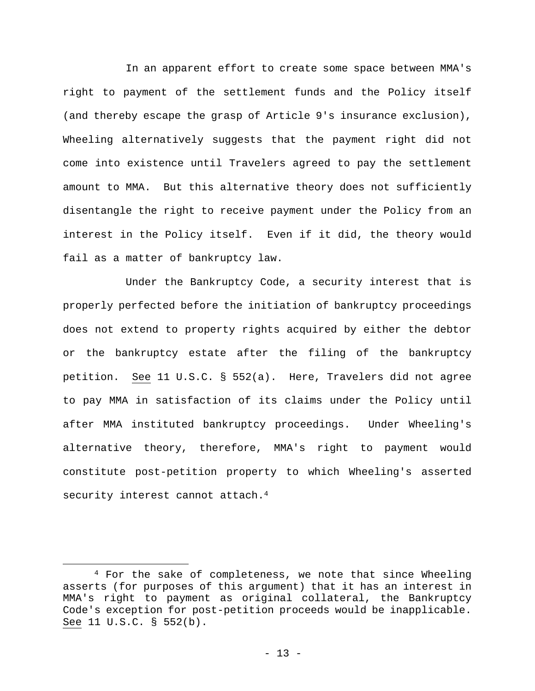In an apparent effort to create some space between MMA's right to payment of the settlement funds and the Policy itself (and thereby escape the grasp of Article 9's insurance exclusion), Wheeling alternatively suggests that the payment right did not come into existence until Travelers agreed to pay the settlement amount to MMA. But this alternative theory does not sufficiently disentangle the right to receive payment under the Policy from an interest in the Policy itself. Even if it did, the theory would fail as a matter of bankruptcy law.

 Under the Bankruptcy Code, a security interest that is properly perfected before the initiation of bankruptcy proceedings does not extend to property rights acquired by either the debtor or the bankruptcy estate after the filing of the bankruptcy petition. See 11 U.S.C. § 552(a). Here, Travelers did not agree to pay MMA in satisfaction of its claims under the Policy until after MMA instituted bankruptcy proceedings. Under Wheeling's alternative theory, therefore, MMA's right to payment would constitute post-petition property to which Wheeling's asserted security interest cannot attach.4

 $\overline{a}$ 

<sup>4</sup> For the sake of completeness, we note that since Wheeling asserts (for purposes of this argument) that it has an interest in MMA's right to payment as original collateral, the Bankruptcy Code's exception for post-petition proceeds would be inapplicable. See 11 U.S.C. § 552(b).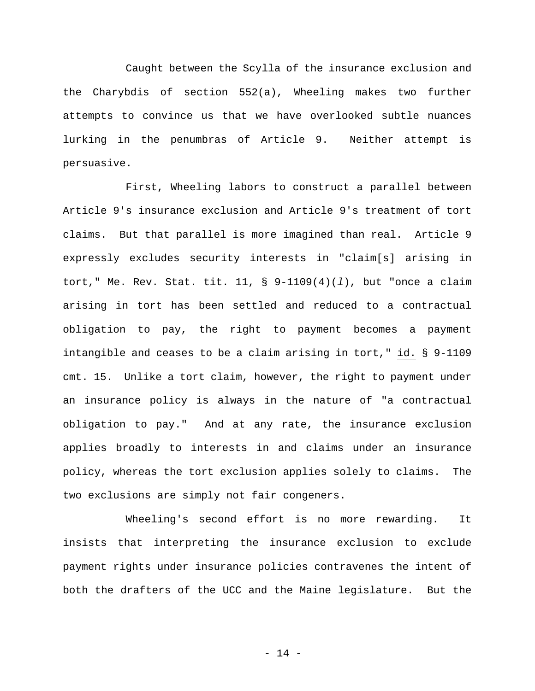Caught between the Scylla of the insurance exclusion and the Charybdis of section 552(a), Wheeling makes two further attempts to convince us that we have overlooked subtle nuances lurking in the penumbras of Article 9. Neither attempt is persuasive.

 First, Wheeling labors to construct a parallel between Article 9's insurance exclusion and Article 9's treatment of tort claims. But that parallel is more imagined than real. Article 9 expressly excludes security interests in "claim[s] arising in tort," Me. Rev. Stat. tit. 11, § 9-1109(4)(*l*), but "once a claim arising in tort has been settled and reduced to a contractual obligation to pay, the right to payment becomes a payment intangible and ceases to be a claim arising in tort," id. § 9-1109 cmt. 15. Unlike a tort claim, however, the right to payment under an insurance policy is always in the nature of "a contractual obligation to pay." And at any rate, the insurance exclusion applies broadly to interests in and claims under an insurance policy, whereas the tort exclusion applies solely to claims. The two exclusions are simply not fair congeners.

 Wheeling's second effort is no more rewarding. It insists that interpreting the insurance exclusion to exclude payment rights under insurance policies contravenes the intent of both the drafters of the UCC and the Maine legislature. But the

- 14 -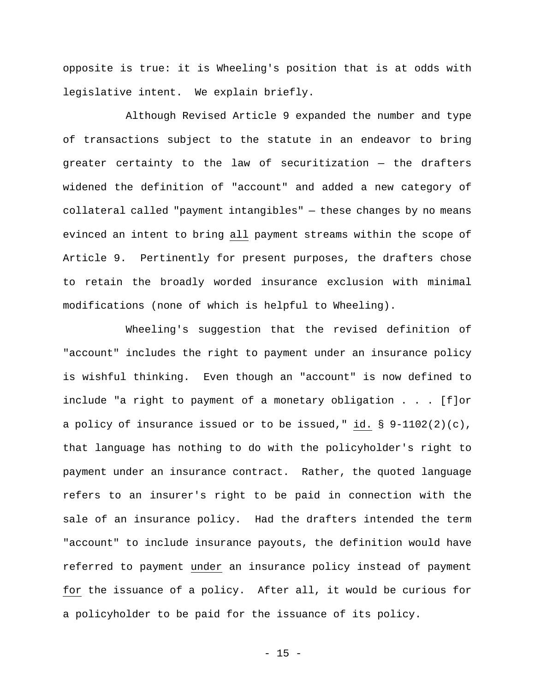opposite is true: it is Wheeling's position that is at odds with legislative intent. We explain briefly.

 Although Revised Article 9 expanded the number and type of transactions subject to the statute in an endeavor to bring greater certainty to the law of securitization — the drafters widened the definition of "account" and added a new category of collateral called "payment intangibles" — these changes by no means evinced an intent to bring all payment streams within the scope of Article 9. Pertinently for present purposes, the drafters chose to retain the broadly worded insurance exclusion with minimal modifications (none of which is helpful to Wheeling).

 Wheeling's suggestion that the revised definition of "account" includes the right to payment under an insurance policy is wishful thinking. Even though an "account" is now defined to include "a right to payment of a monetary obligation . . . [f]or a policy of insurance issued or to be issued," id. § 9-1102(2)(c), that language has nothing to do with the policyholder's right to payment under an insurance contract. Rather, the quoted language refers to an insurer's right to be paid in connection with the sale of an insurance policy. Had the drafters intended the term "account" to include insurance payouts, the definition would have referred to payment under an insurance policy instead of payment for the issuance of a policy. After all, it would be curious for a policyholder to be paid for the issuance of its policy.

 $- 15 -$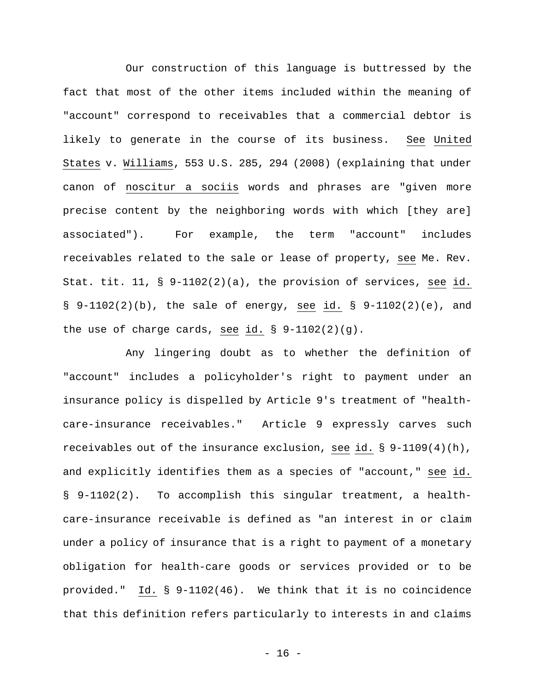Our construction of this language is buttressed by the fact that most of the other items included within the meaning of "account" correspond to receivables that a commercial debtor is likely to generate in the course of its business. See United States v. Williams, 553 U.S. 285, 294 (2008) (explaining that under canon of noscitur a sociis words and phrases are "given more precise content by the neighboring words with which [they are] associated"). For example, the term "account" includes receivables related to the sale or lease of property, see Me. Rev. Stat. tit. 11, § 9-1102(2)(a), the provision of services, see id.  $\S$  9-1102(2)(b), the sale of energy, see id.  $\S$  9-1102(2)(e), and the use of charge cards, see id. § 9-1102(2)(g).

 Any lingering doubt as to whether the definition of "account" includes a policyholder's right to payment under an insurance policy is dispelled by Article 9's treatment of "healthcare-insurance receivables." Article 9 expressly carves such receivables out of the insurance exclusion, see id.  $\S$  9-1109(4)(h), and explicitly identifies them as a species of "account," see id. § 9-1102(2). To accomplish this singular treatment, a healthcare-insurance receivable is defined as "an interest in or claim under a policy of insurance that is a right to payment of a monetary obligation for health-care goods or services provided or to be provided." Id. § 9-1102(46). We think that it is no coincidence that this definition refers particularly to interests in and claims

 $- 16 -$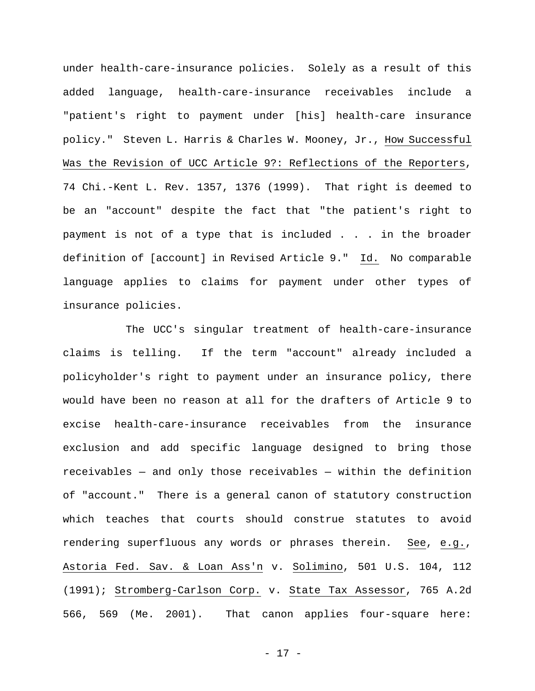under health-care-insurance policies. Solely as a result of this added language, health-care-insurance receivables include a "patient's right to payment under [his] health-care insurance policy." Steven L. Harris & Charles W. Mooney, Jr., How Successful Was the Revision of UCC Article 9?: Reflections of the Reporters, 74 Chi.-Kent L. Rev. 1357, 1376 (1999). That right is deemed to be an "account" despite the fact that "the patient's right to payment is not of a type that is included . . . in the broader definition of [account] in Revised Article 9." Id. No comparable language applies to claims for payment under other types of insurance policies.

 The UCC's singular treatment of health-care-insurance claims is telling. If the term "account" already included a policyholder's right to payment under an insurance policy, there would have been no reason at all for the drafters of Article 9 to excise health-care-insurance receivables from the insurance exclusion and add specific language designed to bring those receivables — and only those receivables — within the definition of "account." There is a general canon of statutory construction which teaches that courts should construe statutes to avoid rendering superfluous any words or phrases therein. See, e.g., Astoria Fed. Sav. & Loan Ass'n v. Solimino, 501 U.S. 104, 112 (1991); Stromberg-Carlson Corp. v. State Tax Assessor, 765 A.2d 566, 569 (Me. 2001). That canon applies four-square here:

- 17 -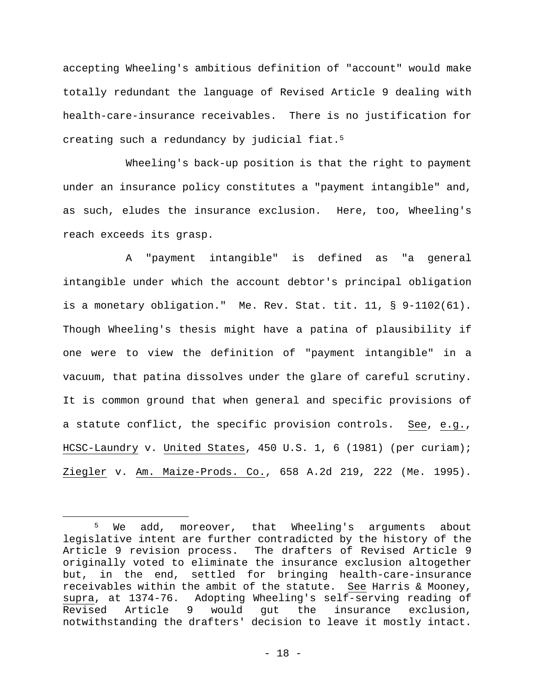accepting Wheeling's ambitious definition of "account" would make totally redundant the language of Revised Article 9 dealing with health-care-insurance receivables. There is no justification for creating such a redundancy by judicial fiat.5

 Wheeling's back-up position is that the right to payment under an insurance policy constitutes a "payment intangible" and, as such, eludes the insurance exclusion. Here, too, Wheeling's reach exceeds its grasp.

 A "payment intangible" is defined as "a general intangible under which the account debtor's principal obligation is a monetary obligation." Me. Rev. Stat. tit. 11, § 9-1102(61). Though Wheeling's thesis might have a patina of plausibility if one were to view the definition of "payment intangible" in a vacuum, that patina dissolves under the glare of careful scrutiny. It is common ground that when general and specific provisions of a statute conflict, the specific provision controls. See, e.g., HCSC-Laundry v. United States, 450 U.S. 1, 6 (1981) (per curiam); Ziegler v. Am. Maize-Prods. Co., 658 A.2d 219, 222 (Me. 1995).

 $\overline{a}$ 

<sup>5</sup> We add, moreover, that Wheeling's arguments about legislative intent are further contradicted by the history of the Article 9 revision process. The drafters of Revised Article 9 originally voted to eliminate the insurance exclusion altogether but, in the end, settled for bringing health-care-insurance receivables within the ambit of the statute. See Harris & Mooney, supra, at 1374-76. Adopting Wheeling's self-serving reading of Revised Article 9 would gut the insurance exclusion, notwithstanding the drafters' decision to leave it mostly intact.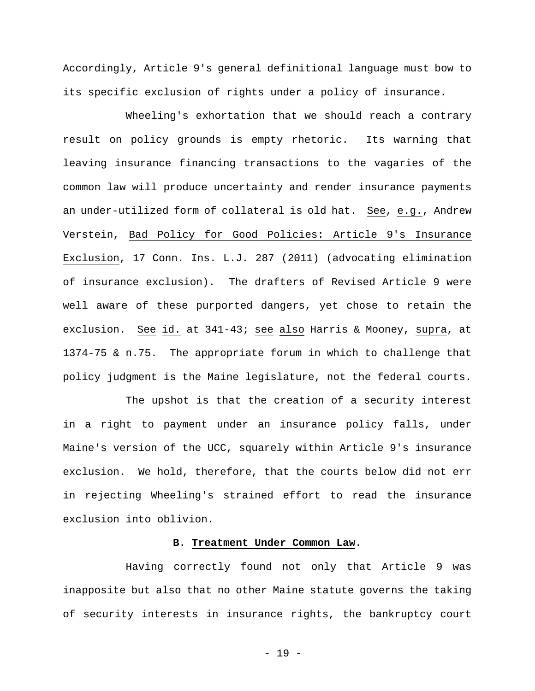Accordingly, Article 9's general definitional language must bow to its specific exclusion of rights under a policy of insurance.

 Wheeling's exhortation that we should reach a contrary result on policy grounds is empty rhetoric. Its warning that leaving insurance financing transactions to the vagaries of the common law will produce uncertainty and render insurance payments an under-utilized form of collateral is old hat. See, e.g., Andrew Verstein, Bad Policy for Good Policies: Article 9's Insurance Exclusion, 17 Conn. Ins. L.J. 287 (2011) (advocating elimination of insurance exclusion). The drafters of Revised Article 9 were well aware of these purported dangers, yet chose to retain the exclusion. See id. at 341-43; see also Harris & Mooney, supra, at 1374-75 & n.75. The appropriate forum in which to challenge that policy judgment is the Maine legislature, not the federal courts.

 The upshot is that the creation of a security interest in a right to payment under an insurance policy falls, under Maine's version of the UCC, squarely within Article 9's insurance exclusion. We hold, therefore, that the courts below did not err in rejecting Wheeling's strained effort to read the insurance exclusion into oblivion.

## **B. Treatment Under Common Law.**

 Having correctly found not only that Article 9 was inapposite but also that no other Maine statute governs the taking of security interests in insurance rights, the bankruptcy court

- 19 -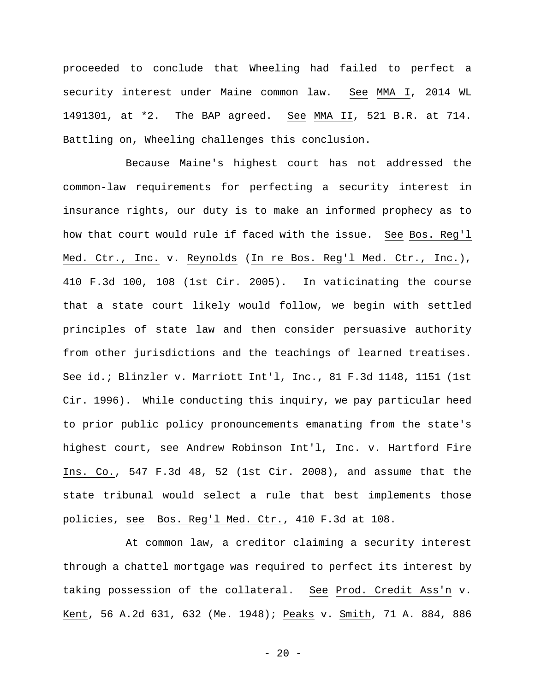proceeded to conclude that Wheeling had failed to perfect a security interest under Maine common law. See MMA I, 2014 WL 1491301, at \*2. The BAP agreed. See MMA II, 521 B.R. at 714. Battling on, Wheeling challenges this conclusion.

 Because Maine's highest court has not addressed the common-law requirements for perfecting a security interest in insurance rights, our duty is to make an informed prophecy as to how that court would rule if faced with the issue. See Bos. Reg'l Med. Ctr., Inc. v. Reynolds (In re Bos. Reg'l Med. Ctr., Inc.), 410 F.3d 100, 108 (1st Cir. 2005). In vaticinating the course that a state court likely would follow, we begin with settled principles of state law and then consider persuasive authority from other jurisdictions and the teachings of learned treatises. See id.; Blinzler v. Marriott Int'l, Inc., 81 F.3d 1148, 1151 (1st Cir. 1996). While conducting this inquiry, we pay particular heed to prior public policy pronouncements emanating from the state's highest court, see Andrew Robinson Int'l, Inc. v. Hartford Fire Ins. Co., 547 F.3d 48, 52 (1st Cir. 2008), and assume that the state tribunal would select a rule that best implements those policies, see Bos. Reg'l Med. Ctr., 410 F.3d at 108.

 At common law, a creditor claiming a security interest through a chattel mortgage was required to perfect its interest by taking possession of the collateral. See Prod. Credit Ass'n v. Kent, 56 A.2d 631, 632 (Me. 1948); Peaks v. Smith, 71 A. 884, 886

 $- 20 -$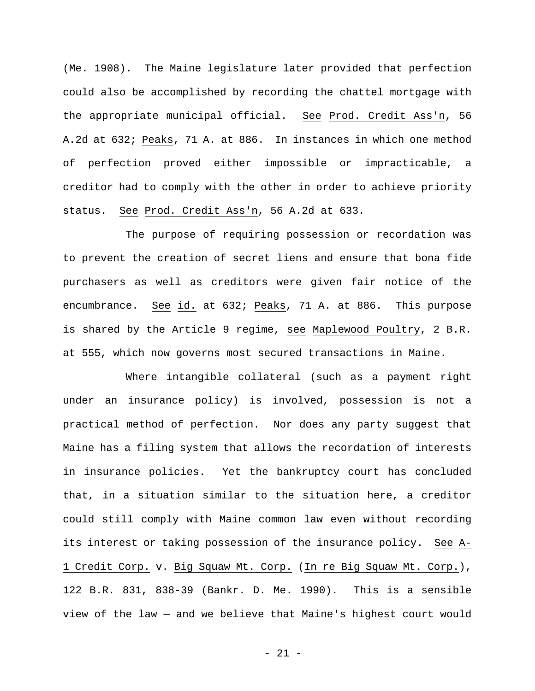(Me. 1908). The Maine legislature later provided that perfection could also be accomplished by recording the chattel mortgage with the appropriate municipal official. See Prod. Credit Ass'n, 56 A.2d at 632; Peaks, 71 A. at 886. In instances in which one method of perfection proved either impossible or impracticable, a creditor had to comply with the other in order to achieve priority status. See Prod. Credit Ass'n, 56 A.2d at 633.

 The purpose of requiring possession or recordation was to prevent the creation of secret liens and ensure that bona fide purchasers as well as creditors were given fair notice of the encumbrance. See id. at 632; Peaks, 71 A. at 886. This purpose is shared by the Article 9 regime, see Maplewood Poultry, 2 B.R. at 555, which now governs most secured transactions in Maine.

 Where intangible collateral (such as a payment right under an insurance policy) is involved, possession is not a practical method of perfection. Nor does any party suggest that Maine has a filing system that allows the recordation of interests in insurance policies. Yet the bankruptcy court has concluded that, in a situation similar to the situation here, a creditor could still comply with Maine common law even without recording its interest or taking possession of the insurance policy. See A-1 Credit Corp. v. Big Squaw Mt. Corp. (In re Big Squaw Mt. Corp.), 122 B.R. 831, 838-39 (Bankr. D. Me. 1990). This is a sensible view of the law — and we believe that Maine's highest court would

- 21 -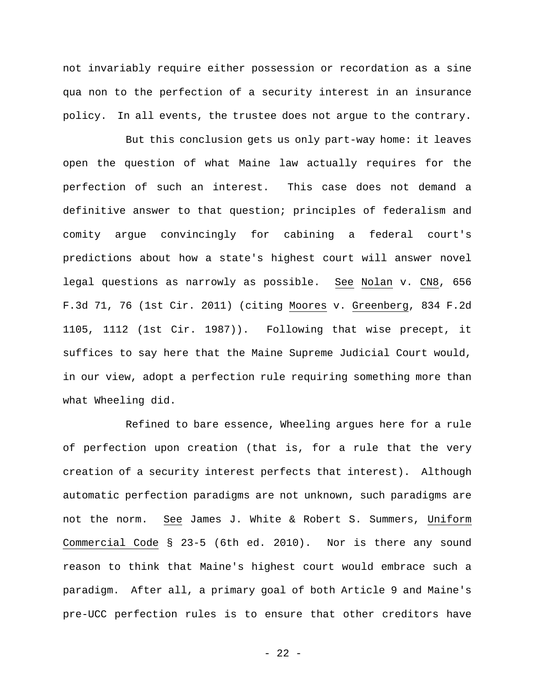not invariably require either possession or recordation as a sine qua non to the perfection of a security interest in an insurance policy. In all events, the trustee does not argue to the contrary.

 But this conclusion gets us only part-way home: it leaves open the question of what Maine law actually requires for the perfection of such an interest. This case does not demand a definitive answer to that question; principles of federalism and comity argue convincingly for cabining a federal court's predictions about how a state's highest court will answer novel legal questions as narrowly as possible. See Nolan v. CN8, 656 F.3d 71, 76 (1st Cir. 2011) (citing Moores v. Greenberg, 834 F.2d 1105, 1112 (1st Cir. 1987)). Following that wise precept, it suffices to say here that the Maine Supreme Judicial Court would, in our view, adopt a perfection rule requiring something more than what Wheeling did.

 Refined to bare essence, Wheeling argues here for a rule of perfection upon creation (that is, for a rule that the very creation of a security interest perfects that interest). Although automatic perfection paradigms are not unknown, such paradigms are not the norm. See James J. White & Robert S. Summers, Uniform Commercial Code § 23-5 (6th ed. 2010). Nor is there any sound reason to think that Maine's highest court would embrace such a paradigm. After all, a primary goal of both Article 9 and Maine's pre-UCC perfection rules is to ensure that other creditors have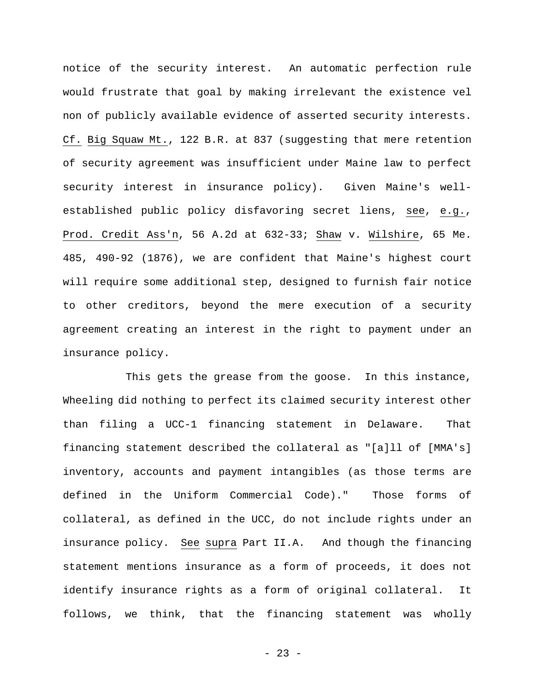notice of the security interest. An automatic perfection rule would frustrate that goal by making irrelevant the existence vel non of publicly available evidence of asserted security interests. Cf. Big Squaw Mt., 122 B.R. at 837 (suggesting that mere retention of security agreement was insufficient under Maine law to perfect security interest in insurance policy). Given Maine's wellestablished public policy disfavoring secret liens, see, e.g., Prod. Credit Ass'n, 56 A.2d at 632-33; Shaw v. Wilshire, 65 Me. 485, 490-92 (1876), we are confident that Maine's highest court will require some additional step, designed to furnish fair notice to other creditors, beyond the mere execution of a security agreement creating an interest in the right to payment under an insurance policy.

 This gets the grease from the goose. In this instance, Wheeling did nothing to perfect its claimed security interest other than filing a UCC-1 financing statement in Delaware. That financing statement described the collateral as "[a]ll of [MMA's] inventory, accounts and payment intangibles (as those terms are defined in the Uniform Commercial Code)." Those forms of collateral, as defined in the UCC, do not include rights under an insurance policy. See supra Part II.A. And though the financing statement mentions insurance as a form of proceeds, it does not identify insurance rights as a form of original collateral. It follows, we think, that the financing statement was wholly

- 23 -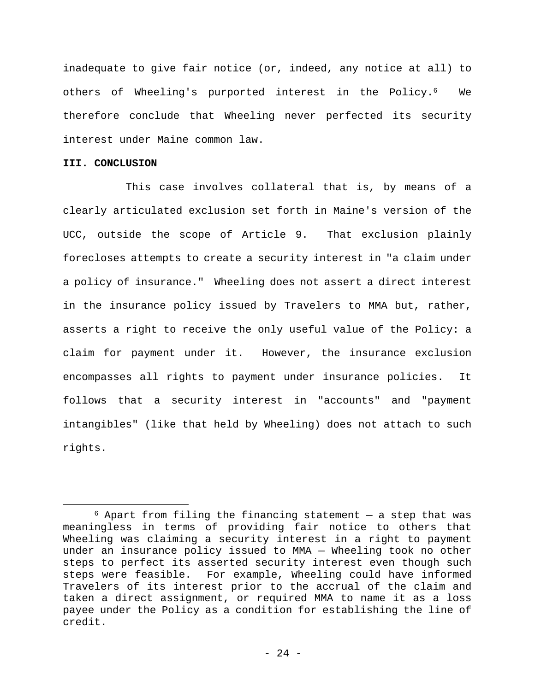inadequate to give fair notice (or, indeed, any notice at all) to others of Wheeling's purported interest in the Policy.6 We therefore conclude that Wheeling never perfected its security interest under Maine common law.

## **III. CONCLUSION**

1

 This case involves collateral that is, by means of a clearly articulated exclusion set forth in Maine's version of the UCC, outside the scope of Article 9. That exclusion plainly forecloses attempts to create a security interest in "a claim under a policy of insurance." Wheeling does not assert a direct interest in the insurance policy issued by Travelers to MMA but, rather, asserts a right to receive the only useful value of the Policy: a claim for payment under it. However, the insurance exclusion encompasses all rights to payment under insurance policies. It follows that a security interest in "accounts" and "payment intangibles" (like that held by Wheeling) does not attach to such rights.

 $6$  Apart from filing the financing statement  $-$  a step that was meaningless in terms of providing fair notice to others that Wheeling was claiming a security interest in a right to payment under an insurance policy issued to MMA — Wheeling took no other steps to perfect its asserted security interest even though such steps were feasible. For example, Wheeling could have informed Travelers of its interest prior to the accrual of the claim and taken a direct assignment, or required MMA to name it as a loss payee under the Policy as a condition for establishing the line of credit.